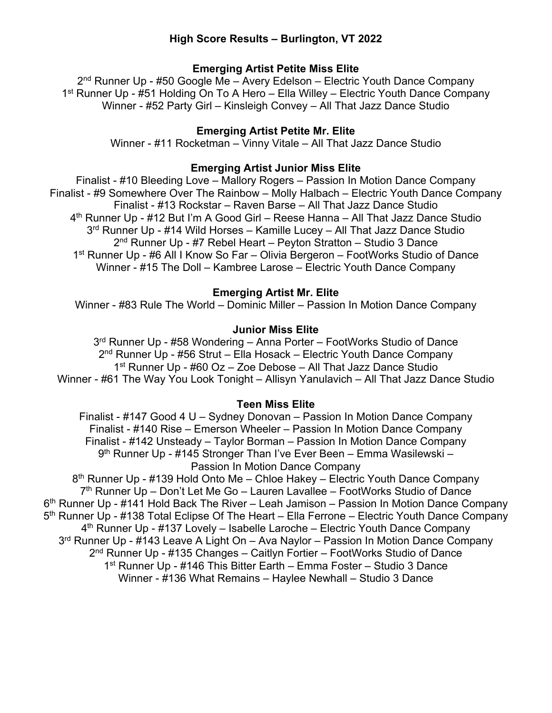# **High Score Results – Burlington, VT 2022**

### **Emerging Artist Petite Miss Elite**

 $2<sup>nd</sup>$  Runner Up - #50 Google Me – Avery Edelson – Electric Youth Dance Company 1<sup>st</sup> Runner Up - #51 Holding On To A Hero – Ella Willey – Electric Youth Dance Company Winner - #52 Party Girl – Kinsleigh Convey – All That Jazz Dance Studio

## **Emerging Artist Petite Mr. Elite**

Winner - #11 Rocketman – Vinny Vitale – All That Jazz Dance Studio

### **Emerging Artist Junior Miss Elite**

Finalist - #10 Bleeding Love – Mallory Rogers – Passion In Motion Dance Company Finalist - #9 Somewhere Over The Rainbow – Molly Halbach – Electric Youth Dance Company Finalist - #13 Rockstar – Raven Barse – All That Jazz Dance Studio 4<sup>th</sup> Runner Up - #12 But I'm A Good Girl – Reese Hanna – All That Jazz Dance Studio 3rd Runner Up - #14 Wild Horses – Kamille Lucey – All That Jazz Dance Studio 2<sup>nd</sup> Runner Up - #7 Rebel Heart – Peyton Stratton – Studio 3 Dance 1st Runner Up - #6 All I Know So Far – Olivia Bergeron – FootWorks Studio of Dance Winner - #15 The Doll – Kambree Larose – Electric Youth Dance Company

## **Emerging Artist Mr. Elite**

Winner - #83 Rule The World – Dominic Miller – Passion In Motion Dance Company

## **Junior Miss Elite**

3<sup>rd</sup> Runner Up - #58 Wondering - Anna Porter - FootWorks Studio of Dance 2nd Runner Up - #56 Strut – Ella Hosack – Electric Youth Dance Company 1st Runner Up - #60 Oz – Zoe Debose – All That Jazz Dance Studio Winner - #61 The Way You Look Tonight – Allisyn Yanulavich – All That Jazz Dance Studio

## **Teen Miss Elite**

Finalist - #147 Good 4 U – Sydney Donovan – Passion In Motion Dance Company Finalist - #140 Rise – Emerson Wheeler – Passion In Motion Dance Company Finalist - #142 Unsteady – Taylor Borman – Passion In Motion Dance Company 9<sup>th</sup> Runner Up - #145 Stronger Than I've Ever Been – Emma Wasilewski – Passion In Motion Dance Company 8<sup>th</sup> Runner Up - #139 Hold Onto Me – Chloe Hakey – Electric Youth Dance Company  $7<sup>th</sup>$  Runner Up – Don't Let Me Go – Lauren Lavallee – FootWorks Studio of Dance 6<sup>th</sup> Runner Up - #141 Hold Back The River – Leah Jamison – Passion In Motion Dance Company 5<sup>th</sup> Runner Up - #138 Total Eclipse Of The Heart – Ella Ferrone – Electric Youth Dance Company 4th Runner Up - #137 Lovely – Isabelle Laroche – Electric Youth Dance Company 3<sup>rd</sup> Runner Up - #143 Leave A Light On – Ava Naylor – Passion In Motion Dance Company 2<sup>nd</sup> Runner Up - #135 Changes – Caitlyn Fortier – FootWorks Studio of Dance 1st Runner Up - #146 This Bitter Earth – Emma Foster – Studio 3 Dance Winner - #136 What Remains – Haylee Newhall – Studio 3 Dance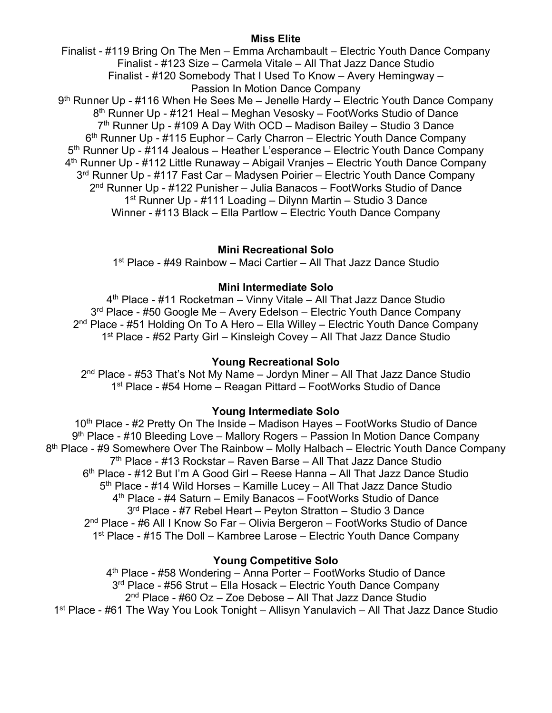#### **Miss Elite**

Finalist - #119 Bring On The Men – Emma Archambault – Electric Youth Dance Company Finalist - #123 Size – Carmela Vitale – All That Jazz Dance Studio Finalist - #120 Somebody That I Used To Know – Avery Hemingway – Passion In Motion Dance Company 9<sup>th</sup> Runner Up - #116 When He Sees Me – Jenelle Hardy – Electric Youth Dance Company 8<sup>th</sup> Runner Up - #121 Heal – Meghan Vesosky – FootWorks Studio of Dance  $7<sup>th</sup>$  Runner Up - #109 A Day With OCD – Madison Bailey – Studio 3 Dance 6<sup>th</sup> Runner Up - #115 Euphor – Carly Charron – Electric Youth Dance Company 5<sup>th</sup> Runner Up - #114 Jealous – Heather L'esperance – Electric Youth Dance Company 4<sup>th</sup> Runner Up - #112 Little Runaway – Abigail Vranjes – Electric Youth Dance Company 3<sup>rd</sup> Runner Up - #117 Fast Car – Madysen Poirier – Electric Youth Dance Company 2nd Runner Up - #122 Punisher – Julia Banacos – FootWorks Studio of Dance 1st Runner Up - #111 Loading – Dilynn Martin – Studio 3 Dance Winner - #113 Black – Ella Partlow – Electric Youth Dance Company

## **Mini Recreational Solo**

1st Place - #49 Rainbow – Maci Cartier – All That Jazz Dance Studio

#### **Mini Intermediate Solo**

4th Place - #11 Rocketman – Vinny Vitale – All That Jazz Dance Studio 3<sup>rd</sup> Place - #50 Google Me – Avery Edelson – Electric Youth Dance Company 2<sup>nd</sup> Place - #51 Holding On To A Hero – Ella Willey – Electric Youth Dance Company 1st Place - #52 Party Girl – Kinsleigh Covey – All That Jazz Dance Studio

### **Young Recreational Solo**

 $2<sup>nd</sup>$  Place - #53 That's Not My Name – Jordyn Miner – All That Jazz Dance Studio 1st Place - #54 Home – Reagan Pittard – FootWorks Studio of Dance

## **Young Intermediate Solo**

10<sup>th</sup> Place - #2 Pretty On The Inside – Madison Hayes – FootWorks Studio of Dance 9<sup>th</sup> Place - #10 Bleeding Love – Mallory Rogers – Passion In Motion Dance Company  $8<sup>th</sup>$  Place - #9 Somewhere Over The Rainbow – Molly Halbach – Electric Youth Dance Company  $7<sup>th</sup>$  Place - #13 Rockstar – Raven Barse – All That Jazz Dance Studio 6th Place - #12 But I'm A Good Girl – Reese Hanna – All That Jazz Dance Studio 5<sup>th</sup> Place - #14 Wild Horses – Kamille Lucey – All That Jazz Dance Studio 4th Place - #4 Saturn – Emily Banacos – FootWorks Studio of Dance 3rd Place - #7 Rebel Heart – Peyton Stratton – Studio 3 Dance 2nd Place - #6 All I Know So Far – Olivia Bergeron – FootWorks Studio of Dance 1<sup>st</sup> Place - #15 The Doll – Kambree Larose – Electric Youth Dance Company

## **Young Competitive Solo**

4th Place - #58 Wondering – Anna Porter – FootWorks Studio of Dance 3rd Place - #56 Strut – Ella Hosack – Electric Youth Dance Company  $2<sup>nd</sup>$  Place - #60 Oz – Zoe Debose – All That Jazz Dance Studio 1st Place - #61 The Way You Look Tonight – Allisyn Yanulavich – All That Jazz Dance Studio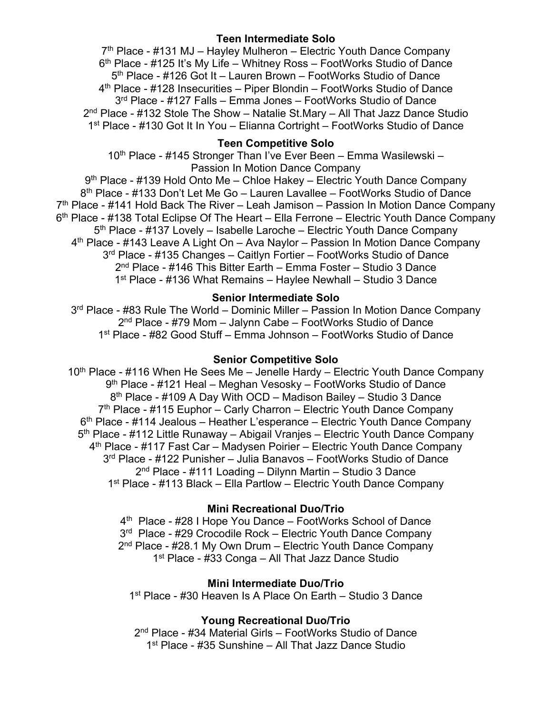## **Teen Intermediate Solo**

 $7<sup>th</sup>$  Place - #131 MJ – Hayley Mulheron – Electric Youth Dance Company 6th Place - #125 It's My Life – Whitney Ross – FootWorks Studio of Dance 5th Place - #126 Got It – Lauren Brown – FootWorks Studio of Dance 4th Place - #128 Insecurities – Piper Blondin – FootWorks Studio of Dance 3<sup>rd</sup> Place - #127 Falls – Emma Jones – FootWorks Studio of Dance 2nd Place - #132 Stole The Show – Natalie St.Mary – All That Jazz Dance Studio 1<sup>st</sup> Place - #130 Got It In You – Elianna Cortright – FootWorks Studio of Dance

## **Teen Competitive Solo**

10<sup>th</sup> Place - #145 Stronger Than I've Ever Been – Emma Wasilewski – Passion In Motion Dance Company

9<sup>th</sup> Place - #139 Hold Onto Me – Chloe Hakey – Electric Youth Dance Company 8th Place - #133 Don't Let Me Go – Lauren Lavallee – FootWorks Studio of Dance  $7<sup>th</sup>$  Place - #141 Hold Back The River – Leah Jamison – Passion In Motion Dance Company 6<sup>th</sup> Place - #138 Total Eclipse Of The Heart – Ella Ferrone – Electric Youth Dance Company  $5<sup>th</sup>$  Place - #137 Lovely – Isabelle Laroche – Electric Youth Dance Company 4<sup>th</sup> Place - #143 Leave A Light On – Ava Naylor – Passion In Motion Dance Company 3rd Place - #135 Changes – Caitlyn Fortier – FootWorks Studio of Dance 2nd Place - #146 This Bitter Earth – Emma Foster – Studio 3 Dance 1st Place - #136 What Remains – Haylee Newhall – Studio 3 Dance

#### **Senior Intermediate Solo**

3<sup>rd</sup> Place - #83 Rule The World – Dominic Miller – Passion In Motion Dance Company 2nd Place - #79 Mom – Jalynn Cabe – FootWorks Studio of Dance 1st Place - #82 Good Stuff – Emma Johnson – FootWorks Studio of Dance

#### **Senior Competitive Solo**

 $10<sup>th</sup>$  Place - #116 When He Sees Me – Jenelle Hardy – Electric Youth Dance Company 9th Place - #121 Heal – Meghan Vesosky – FootWorks Studio of Dance 8th Place - #109 A Day With OCD – Madison Bailey – Studio 3 Dance  $7<sup>th</sup>$  Place - #115 Euphor – Carly Charron – Electric Youth Dance Company 6th Place - #114 Jealous – Heather L'esperance – Electric Youth Dance Company 5<sup>th</sup> Place - #112 Little Runaway – Abigail Vranjes – Electric Youth Dance Company 4th Place - #117 Fast Car – Madysen Poirier – Electric Youth Dance Company 3rd Place - #122 Punisher – Julia Banavos – FootWorks Studio of Dance 2nd Place - #111 Loading – Dilynn Martin – Studio 3 Dance 1<sup>st</sup> Place - #113 Black – Ella Partlow – Electric Youth Dance Company

#### **Mini Recreational Duo/Trio**

4th Place - #28 I Hope You Dance – FootWorks School of Dance 3<sup>rd</sup> Place - #29 Crocodile Rock – Electric Youth Dance Company 2<sup>nd</sup> Place - #28.1 My Own Drum – Electric Youth Dance Company 1<sup>st</sup> Place - #33 Conga – All That Jazz Dance Studio

#### **Mini Intermediate Duo/Trio**

1st Place - #30 Heaven Is A Place On Earth – Studio 3 Dance

### **Young Recreational Duo/Trio**

2nd Place - #34 Material Girls – FootWorks Studio of Dance 1st Place - #35 Sunshine – All That Jazz Dance Studio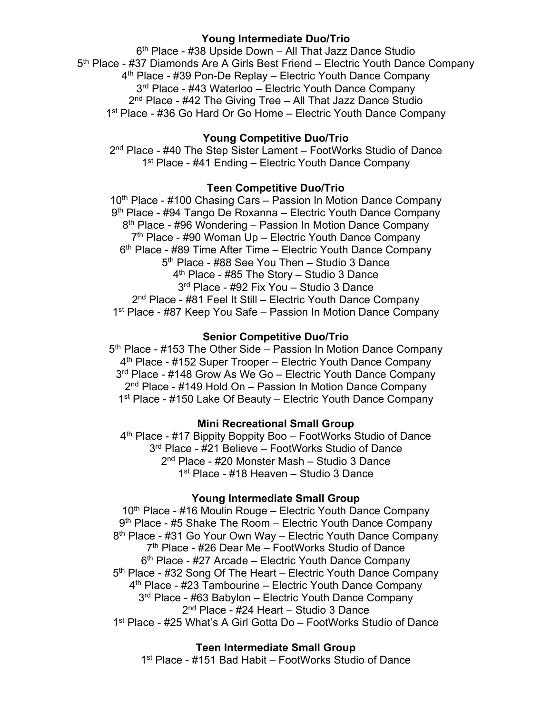### **Young Intermediate Duo/Trio**

6th Place - #38 Upside Down – All That Jazz Dance Studio 5<sup>th</sup> Place - #37 Diamonds Are A Girls Best Friend – Electric Youth Dance Company 4<sup>th</sup> Place - #39 Pon-De Replay – Electric Youth Dance Company 3<sup>rd</sup> Place - #43 Waterloo – Electric Youth Dance Company 2<sup>nd</sup> Place - #42 The Giving Tree - All That Jazz Dance Studio 1<sup>st</sup> Place - #36 Go Hard Or Go Home – Electric Youth Dance Company

### **Young Competitive Duo/Trio**

2<sup>nd</sup> Place - #40 The Step Sister Lament – FootWorks Studio of Dance 1<sup>st</sup> Place - #41 Ending – Electric Youth Dance Company

#### **Teen Competitive Duo/Trio**

10<sup>th</sup> Place - #100 Chasing Cars – Passion In Motion Dance Company 9<sup>th</sup> Place - #94 Tango De Roxanna – Electric Youth Dance Company 8th Place - #96 Wondering – Passion In Motion Dance Company  $7<sup>th</sup>$  Place - #90 Woman Up – Electric Youth Dance Company 6<sup>th</sup> Place - #89 Time After Time – Electric Youth Dance Company 5<sup>th</sup> Place - #88 See You Then - Studio 3 Dance 4<sup>th</sup> Place - #85 The Story - Studio 3 Dance 3rd Place - #92 Fix You – Studio 3 Dance 2<sup>nd</sup> Place - #81 Feel It Still – Electric Youth Dance Company 1<sup>st</sup> Place - #87 Keep You Safe – Passion In Motion Dance Company

#### **Senior Competitive Duo/Trio**

5th Place - #153 The Other Side – Passion In Motion Dance Company 4th Place - #152 Super Trooper – Electric Youth Dance Company 3<sup>rd</sup> Place - #148 Grow As We Go – Electric Youth Dance Company 2<sup>nd</sup> Place - #149 Hold On – Passion In Motion Dance Company 1<sup>st</sup> Place - #150 Lake Of Beauty – Electric Youth Dance Company

#### **Mini Recreational Small Group**

4th Place - #17 Bippity Boppity Boo – FootWorks Studio of Dance 3rd Place - #21 Believe – FootWorks Studio of Dance 2nd Place - #20 Monster Mash – Studio 3 Dance 1st Place - #18 Heaven – Studio 3 Dance

#### **Young Intermediate Small Group**

10<sup>th</sup> Place - #16 Moulin Rouge – Electric Youth Dance Company 9<sup>th</sup> Place - #5 Shake The Room – Electric Youth Dance Company 8<sup>th</sup> Place - #31 Go Your Own Way – Electric Youth Dance Company 7th Place - #26 Dear Me – FootWorks Studio of Dance 6th Place - #27 Arcade – Electric Youth Dance Company 5<sup>th</sup> Place - #32 Song Of The Heart – Electric Youth Dance Company 4th Place - #23 Tambourine – Electric Youth Dance Company 3<sup>rd</sup> Place - #63 Babylon – Electric Youth Dance Company 2<sup>nd</sup> Place - #24 Heart – Studio 3 Dance 1st Place - #25 What's A Girl Gotta Do – FootWorks Studio of Dance

#### **Teen Intermediate Small Group**

1st Place - #151 Bad Habit – FootWorks Studio of Dance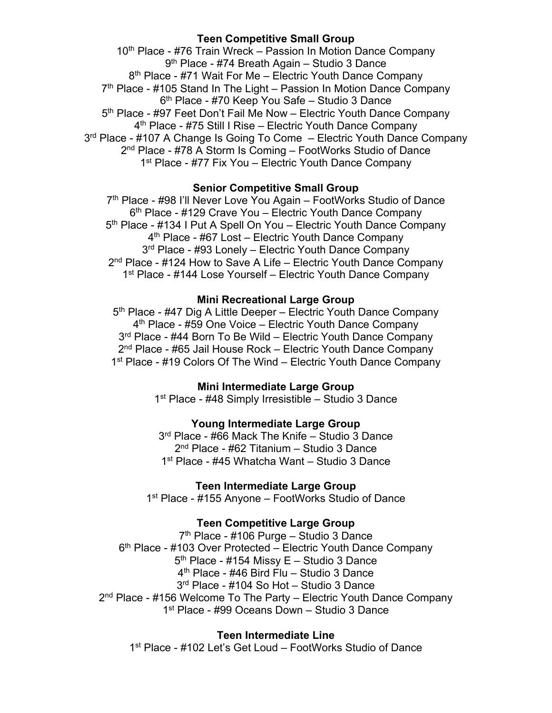## **Teen Competitive Small Group**

10<sup>th</sup> Place - #76 Train Wreck – Passion In Motion Dance Company 9th Place - #74 Breath Again – Studio 3 Dance 8<sup>th</sup> Place - #71 Wait For Me – Electric Youth Dance Company  $7<sup>th</sup>$  Place - #105 Stand In The Light – Passion In Motion Dance Company 6th Place - #70 Keep You Safe – Studio 3 Dance 5<sup>th</sup> Place - #97 Feet Don't Fail Me Now – Electric Youth Dance Company 4th Place - #75 Still I Rise – Electric Youth Dance Company 3<sup>rd</sup> Place - #107 A Change Is Going To Come – Electric Youth Dance Company 2<sup>nd</sup> Place - #78 A Storm Is Coming – FootWorks Studio of Dance 1<sup>st</sup> Place - #77 Fix You – Electric Youth Dance Company

## **Senior Competitive Small Group**

7<sup>th</sup> Place - #98 I'll Never Love You Again – FootWorks Studio of Dance 6<sup>th</sup> Place - #129 Crave You – Electric Youth Dance Company 5<sup>th</sup> Place - #134 I Put A Spell On You – Electric Youth Dance Company 4<sup>th</sup> Place - #67 Lost – Electric Youth Dance Company 3<sup>rd</sup> Place - #93 Lonely – Electric Youth Dance Company  $2<sup>nd</sup>$  Place - #124 How to Save A Life – Electric Youth Dance Company 1<sup>st</sup> Place - #144 Lose Yourself – Electric Youth Dance Company

#### **Mini Recreational Large Group**

5<sup>th</sup> Place - #47 Dig A Little Deeper – Electric Youth Dance Company 4<sup>th</sup> Place - #59 One Voice – Electric Youth Dance Company 3<sup>rd</sup> Place - #44 Born To Be Wild – Electric Youth Dance Company 2<sup>nd</sup> Place - #65 Jail House Rock – Electric Youth Dance Company 1<sup>st</sup> Place - #19 Colors Of The Wind – Electric Youth Dance Company

#### **Mini Intermediate Large Group**

1<sup>st</sup> Place - #48 Simply Irresistible - Studio 3 Dance

#### **Young Intermediate Large Group**

3<sup>rd</sup> Place - #66 Mack The Knife – Studio 3 Dance 2<sup>nd</sup> Place - #62 Titanium – Studio 3 Dance 1<sup>st</sup> Place - #45 Whatcha Want – Studio 3 Dance

#### **Teen Intermediate Large Group**

1<sup>st</sup> Place - #155 Anyone – FootWorks Studio of Dance

#### **Teen Competitive Large Group**

7th Place - #106 Purge – Studio 3 Dance 6<sup>th</sup> Place - #103 Over Protected – Electric Youth Dance Company 5th Place - #154 Missy E – Studio 3 Dance 4th Place - #46 Bird Flu – Studio 3 Dance 3rd Place - #104 So Hot – Studio 3 Dance 2<sup>nd</sup> Place - #156 Welcome To The Party – Electric Youth Dance Company 1<sup>st</sup> Place - #99 Oceans Down – Studio 3 Dance

## **Teen Intermediate Line**

1st Place - #102 Let's Get Loud – FootWorks Studio of Dance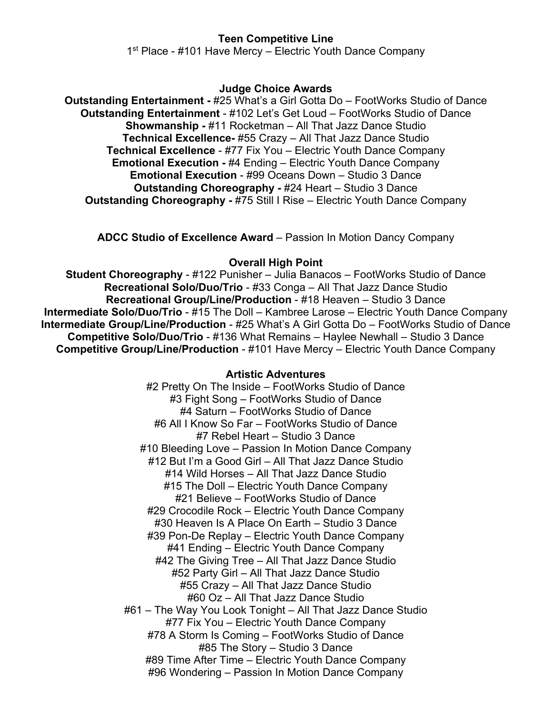### **Teen Competitive Line**

1<sup>st</sup> Place - #101 Have Mercy – Electric Youth Dance Company

#### **Judge Choice Awards**

**Outstanding Entertainment -** #25 What's a Girl Gotta Do – FootWorks Studio of Dance **Outstanding Entertainment** - #102 Let's Get Loud – FootWorks Studio of Dance **Showmanship -** #11 Rocketman – All That Jazz Dance Studio **Technical Excellence-** #55 Crazy – All That Jazz Dance Studio **Technical Excellence** - #77 Fix You – Electric Youth Dance Company **Emotional Execution -** #4 Ending – Electric Youth Dance Company **Emotional Execution** - #99 Oceans Down – Studio 3 Dance **Outstanding Choreography -** #24 Heart – Studio 3 Dance **Outstanding Choreography -** #75 Still I Rise – Electric Youth Dance Company

**ADCC Studio of Excellence Award** – Passion In Motion Dancy Company

#### **Overall High Point**

**Student Choreography** - #122 Punisher – Julia Banacos – FootWorks Studio of Dance **Recreational Solo/Duo/Trio** - #33 Conga – All That Jazz Dance Studio **Recreational Group/Line/Production** - #18 Heaven – Studio 3 Dance **Intermediate Solo/Duo/Trio** - #15 The Doll – Kambree Larose – Electric Youth Dance Company **Intermediate Group/Line/Production - #25 What's A Girl Gotta Do – FootWorks Studio of Dance Competitive Solo/Duo/Trio** - #136 What Remains – Haylee Newhall – Studio 3 Dance **Competitive Group/Line/Production** - #101 Have Mercy – Electric Youth Dance Company

#### **Artistic Adventures**

#2 Pretty On The Inside – FootWorks Studio of Dance #3 Fight Song – FootWorks Studio of Dance #4 Saturn – FootWorks Studio of Dance #6 All I Know So Far – FootWorks Studio of Dance #7 Rebel Heart – Studio 3 Dance #10 Bleeding Love – Passion In Motion Dance Company #12 But I'm a Good Girl – All That Jazz Dance Studio #14 Wild Horses – All That Jazz Dance Studio #15 The Doll – Electric Youth Dance Company #21 Believe – FootWorks Studio of Dance #29 Crocodile Rock – Electric Youth Dance Company #30 Heaven Is A Place On Earth – Studio 3 Dance #39 Pon-De Replay – Electric Youth Dance Company #41 Ending – Electric Youth Dance Company #42 The Giving Tree – All That Jazz Dance Studio #52 Party Girl – All That Jazz Dance Studio #55 Crazy – All That Jazz Dance Studio #60 Oz – All That Jazz Dance Studio #61 – The Way You Look Tonight – All That Jazz Dance Studio #77 Fix You – Electric Youth Dance Company #78 A Storm Is Coming – FootWorks Studio of Dance #85 The Story – Studio 3 Dance #89 Time After Time – Electric Youth Dance Company #96 Wondering – Passion In Motion Dance Company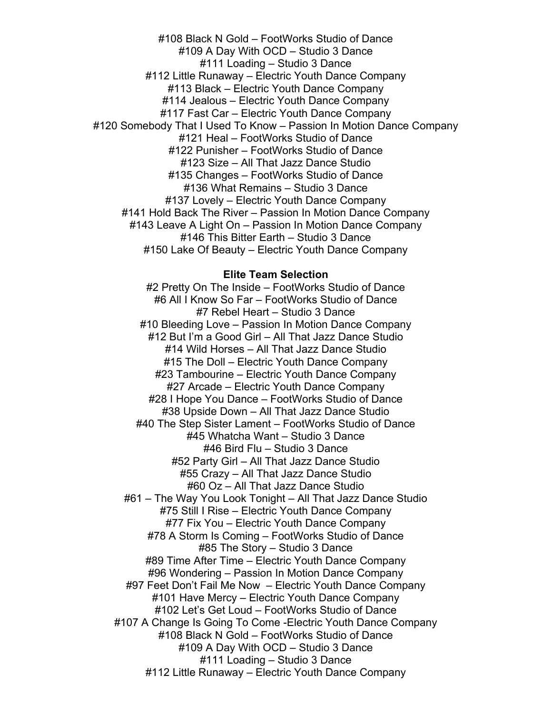#108 Black N Gold – FootWorks Studio of Dance #109 A Day With OCD – Studio 3 Dance #111 Loading – Studio 3 Dance #112 Little Runaway – Electric Youth Dance Company #113 Black – Electric Youth Dance Company #114 Jealous – Electric Youth Dance Company #117 Fast Car – Electric Youth Dance Company #120 Somebody That I Used To Know – Passion In Motion Dance Company #121 Heal – FootWorks Studio of Dance #122 Punisher – FootWorks Studio of Dance #123 Size – All That Jazz Dance Studio #135 Changes – FootWorks Studio of Dance #136 What Remains – Studio 3 Dance #137 Lovely – Electric Youth Dance Company #141 Hold Back The River – Passion In Motion Dance Company #143 Leave A Light On – Passion In Motion Dance Company #146 This Bitter Earth – Studio 3 Dance #150 Lake Of Beauty – Electric Youth Dance Company

#### **Elite Team Selection**

#2 Pretty On The Inside – FootWorks Studio of Dance #6 All I Know So Far – FootWorks Studio of Dance #7 Rebel Heart – Studio 3 Dance #10 Bleeding Love – Passion In Motion Dance Company #12 But I'm a Good Girl – All That Jazz Dance Studio #14 Wild Horses – All That Jazz Dance Studio #15 The Doll – Electric Youth Dance Company #23 Tambourine – Electric Youth Dance Company #27 Arcade – Electric Youth Dance Company #28 I Hope You Dance – FootWorks Studio of Dance #38 Upside Down – All That Jazz Dance Studio #40 The Step Sister Lament – FootWorks Studio of Dance #45 Whatcha Want – Studio 3 Dance #46 Bird Flu – Studio 3 Dance #52 Party Girl – All That Jazz Dance Studio #55 Crazy – All That Jazz Dance Studio #60 Oz – All That Jazz Dance Studio #61 – The Way You Look Tonight – All That Jazz Dance Studio #75 Still I Rise – Electric Youth Dance Company #77 Fix You – Electric Youth Dance Company #78 A Storm Is Coming – FootWorks Studio of Dance #85 The Story – Studio 3 Dance #89 Time After Time – Electric Youth Dance Company #96 Wondering – Passion In Motion Dance Company #97 Feet Don't Fail Me Now – Electric Youth Dance Company #101 Have Mercy – Electric Youth Dance Company #102 Let's Get Loud – FootWorks Studio of Dance #107 A Change Is Going To Come -Electric Youth Dance Company #108 Black N Gold – FootWorks Studio of Dance #109 A Day With OCD – Studio 3 Dance #111 Loading – Studio 3 Dance #112 Little Runaway – Electric Youth Dance Company